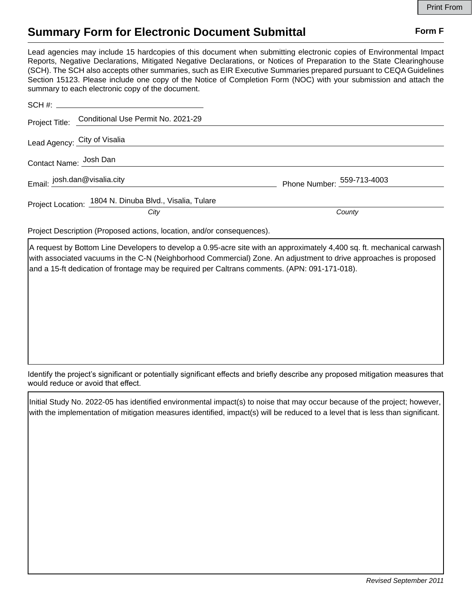## **Summary Form for Electronic Document Submittal Form F Form F**

Lead agencies may include 15 hardcopies of this document when submitting electronic copies of Environmental Impact Reports, Negative Declarations, Mitigated Negative Declarations, or Notices of Preparation to the State Clearinghouse (SCH). The SCH also accepts other summaries, such as EIR Executive Summaries prepared pursuant to CEQA Guidelines Section 15123. Please include one copy of the Notice of Completion Form (NOC) with your submission and attach the summary to each electronic copy of the document.

|                              | Project Title: Conditional Use Permit No. 2021-29       |                            |
|------------------------------|---------------------------------------------------------|----------------------------|
| Lead Agency: City of Visalia |                                                         |                            |
| Contact Name: Josh Dan       |                                                         |                            |
| Email: josh.dan@visalia.city |                                                         | Phone Number: 559-713-4003 |
|                              | Project Location: 1804 N. Dinuba Blvd., Visalia, Tulare |                            |
|                              | City                                                    | County                     |

Project Description (Proposed actions, location, and/or consequences).

A request by Bottom Line Developers to develop a 0.95-acre site with an approximately 4,400 sq. ft. mechanical carwash with associated vacuums in the C-N (Neighborhood Commercial) Zone. An adjustment to drive approaches is proposed and a 15-ft dedication of frontage may be required per Caltrans comments. (APN: 091-171-018).

Identify the project's significant or potentially significant effects and briefly describe any proposed mitigation measures that would reduce or avoid that effect.

Initial Study No. 2022-05 has identified environmental impact(s) to noise that may occur because of the project; however, with the implementation of mitigation measures identified, impact(s) will be reduced to a level that is less than significant.